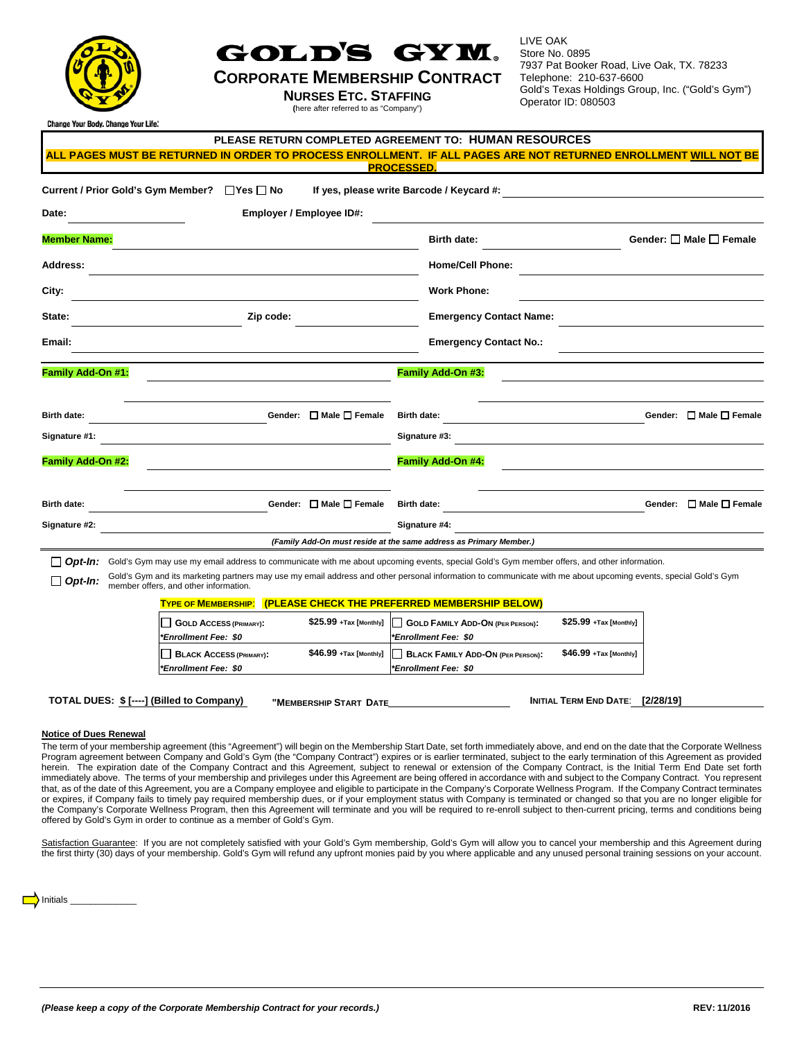

## GOLD'S GYM.

## **CORPORATE MEMBERSHIP CONTRACT**

**NURSES ETC. STAFFING**

**(**here after referred to as "Company")

LIVE OAK Store No. 0895 7937 Pat Booker Road, Live Oak, TX. 78233 Telephone: 210-637-6600 Gold's Texas Holdings Group, Inc. ("Gold's Gym") Operator ID: 080503

nge Your Body. Change Your Life:

|                                                                                                                                                              | PLEASE RETURN COMPLETED AGREEMENT TO: HUMAN RESOURCES                                                                                                          |
|--------------------------------------------------------------------------------------------------------------------------------------------------------------|----------------------------------------------------------------------------------------------------------------------------------------------------------------|
|                                                                                                                                                              | <u>ALL PAGES MUST BE RETURNED IN ORDER TO PROCESS ENROLLMENT. IF ALL PAGES ARE NOT RETURNED ENROLLMENT WILL NOT BE</u><br><b>PROCESSED</b>                     |
| <b>Current / Prior Gold's Gym Member?</b><br>$\Box$ Yes $\Box$ No                                                                                            | If yes, please write Barcode / Keycard #:                                                                                                                      |
| Employer / Employee ID#:<br>Date:                                                                                                                            |                                                                                                                                                                |
| <b>Member Name:</b>                                                                                                                                          | Gender: □ Male □ Female<br><b>Birth date:</b>                                                                                                                  |
| <b>Address:</b>                                                                                                                                              | <b>Home/Cell Phone:</b>                                                                                                                                        |
| City:                                                                                                                                                        | <b>Work Phone:</b>                                                                                                                                             |
| State:<br>Zip code:                                                                                                                                          | <b>Emergency Contact Name:</b>                                                                                                                                 |
| Email:                                                                                                                                                       | <b>Emergency Contact No.:</b>                                                                                                                                  |
| Family Add-On #1:                                                                                                                                            | Family Add-On #3:                                                                                                                                              |
|                                                                                                                                                              |                                                                                                                                                                |
| Gender: $\Box$ Male $\Box$ Female<br><b>Birth date:</b>                                                                                                      | Gender: □ Male □ Female<br><b>Birth date:</b>                                                                                                                  |
| Signature #1:                                                                                                                                                | Signature #3:                                                                                                                                                  |
| Family Add-On #2:                                                                                                                                            | Family Add-On #4:                                                                                                                                              |
| Gender: □ Male □ Female<br><b>Birth date:</b>                                                                                                                | Gender: □ Male □ Female<br><b>Birth date:</b>                                                                                                                  |
| Signature #2:                                                                                                                                                | Signature #4:                                                                                                                                                  |
|                                                                                                                                                              | (Family Add-On must reside at the same address as Primary Member.)                                                                                             |
| Gold's Gym may use my email address to communicate with me about upcoming events, special Gold's Gym member offers, and other information.<br>$\Box$ Opt-In: |                                                                                                                                                                |
| $\Box$ Opt-In:<br>member offers, and other information.                                                                                                      | Gold's Gym and its marketing partners may use my email address and other personal information to communicate with me about upcoming events, special Gold's Gym |
| <b>TYPE OF MEMBERSHIP:</b>                                                                                                                                   | (PLEASE CHECK THE PREFERRED MEMBERSHIP BELOW)                                                                                                                  |
| \$25.99 +Tax [Monthly]<br>GOLD ACCESS (PRIMARY):                                                                                                             | \$25.99 +Tax [Monthly]<br>GOLD FAMILY ADD-ON (PER PERSON):                                                                                                     |
| <b>Enrollment Fee: \$0*</b><br>$$46.99$ +Tax [Monthly]<br><b>BLACK ACCESS (PRIMARY):</b><br><b>Enrollment Fee: \$0*</b>                                      | <b>Enrollment Fee: \$0*</b><br>\$46.99 +Tax [Monthly]<br>BLACK FAMILY ADD-ON (PER PERSON):<br><i><b>*Enrollment Fee: \$0</b></i>                               |
| TOTAL DUES: \$ [----] (Billed to Company)<br>"MEMBERSHIP START DATE                                                                                          | INITIAL TERM END DATE: [2/28/19]                                                                                                                               |

## **Notice of Dues Renewal**

The term of your membership agreement (this "Agreement") will begin on the Membership Start Date, set forth immediately above, and end on the date that the Corporate Wellness Program agreement between Company and Gold's Gym (the "Company Contract") expires or is earlier terminated, subject to the early termination of this Agreement as provided herein. The expiration date of the Company Contract and this Agreement, subject to renewal or extension of the Company Contract, is the Initial Term End Date set forth immediately above. The terms of your membership and privileges under this Agreement are being offered in accordance with and subject to the Company Contract. You represent that, as of the date of this Agreement, you are a Company employee and eligible to participate in the Company's Corporate Wellness Program. If the Company Contract terminates or expires, if Company fails to timely pay required membership dues, or if your employment status with Company is terminated or changed so that you are no longer eligible for the Company's Corporate Wellness Program, then this Agreement will terminate and you will be required to re-enroll subject to then-current pricing, terms and conditions being offered by Gold's Gym in order to continue as a member of Gold's Gym.

Satisfaction Guarantee: If you are not completely satisfied with your Gold's Gym membership, Gold's Gym will allow you to cancel your membership and this Agreement during the first thirty (30) days of your membership. Gold's Gym will refund any upfront monies paid by you where applicable and any unused personal training sessions on your account.

 $\sum$  Initials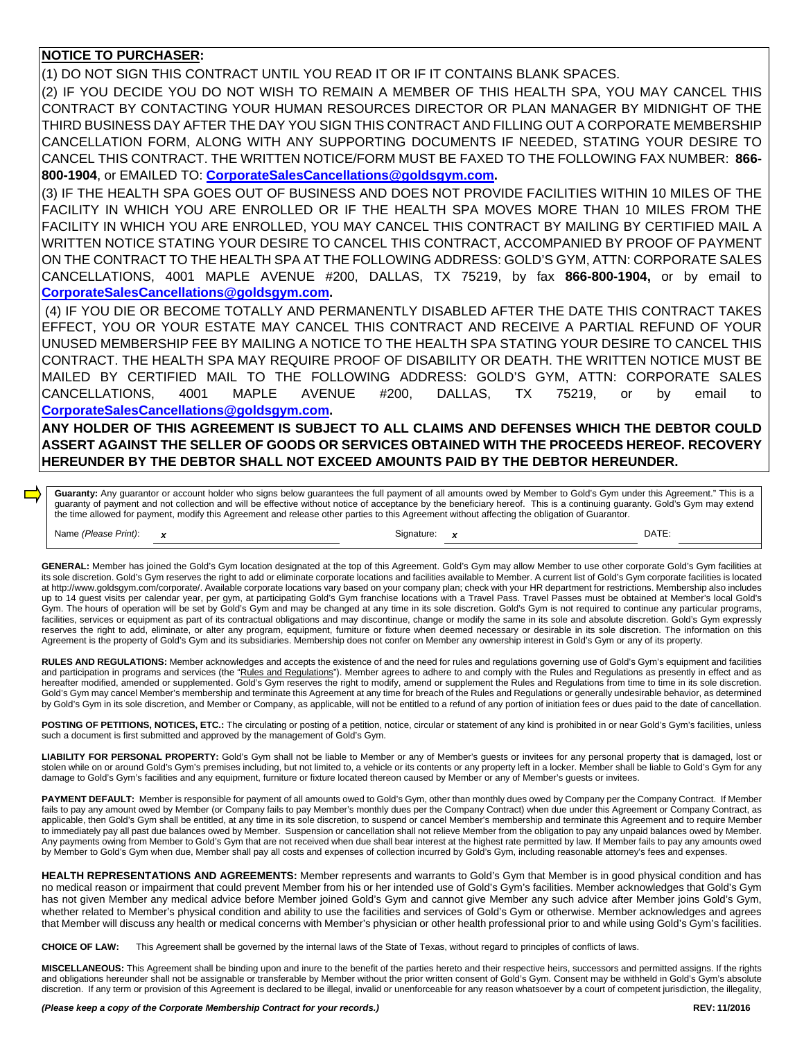## **NOTICE TO PURCHASER:**

(1) DO NOT SIGN THIS CONTRACT UNTIL YOU READ IT OR IF IT CONTAINS BLANK SPACES.

(2) IF YOU DECIDE YOU DO NOT WISH TO REMAIN A MEMBER OF THIS HEALTH SPA, YOU MAY CANCEL THIS CONTRACT BY CONTACTING YOUR HUMAN RESOURCES DIRECTOR OR PLAN MANAGER BY MIDNIGHT OF THE THIRD BUSINESS DAY AFTER THE DAY YOU SIGN THIS CONTRACT AND FILLING OUT A CORPORATE MEMBERSHIP CANCELLATION FORM, ALONG WITH ANY SUPPORTING DOCUMENTS IF NEEDED, STATING YOUR DESIRE TO CANCEL THIS CONTRACT. THE WRITTEN NOTICE/FORM MUST BE FAXED TO THE FOLLOWING FAX NUMBER: **866- 800-1904**, or EMAILED TO: **[CorporateSalesCancellations@goldsgym.com.](mailto:CorporateSalesCancellations@goldsgym.com)**

(3) IF THE HEALTH SPA GOES OUT OF BUSINESS AND DOES NOT PROVIDE FACILITIES WITHIN 10 MILES OF THE FACILITY IN WHICH YOU ARE ENROLLED OR IF THE HEALTH SPA MOVES MORE THAN 10 MILES FROM THE FACILITY IN WHICH YOU ARE ENROLLED, YOU MAY CANCEL THIS CONTRACT BY MAILING BY CERTIFIED MAIL A WRITTEN NOTICE STATING YOUR DESIRE TO CANCEL THIS CONTRACT, ACCOMPANIED BY PROOF OF PAYMENT ON THE CONTRACT TO THE HEALTH SPA AT THE FOLLOWING ADDRESS: GOLD'S GYM, ATTN: CORPORATE SALES CANCELLATIONS, 4001 MAPLE AVENUE #200, DALLAS, TX 75219, by fax **866-800-1904,** or by email to **[CorporateSalesCancellations@goldsgym.com.](mailto:CorporateSalesCancellations@goldsgym.com)**

(4) IF YOU DIE OR BECOME TOTALLY AND PERMANENTLY DISABLED AFTER THE DATE THIS CONTRACT TAKES EFFECT, YOU OR YOUR ESTATE MAY CANCEL THIS CONTRACT AND RECEIVE A PARTIAL REFUND OF YOUR UNUSED MEMBERSHIP FEE BY MAILING A NOTICE TO THE HEALTH SPA STATING YOUR DESIRE TO CANCEL THIS CONTRACT. THE HEALTH SPA MAY REQUIRE PROOF OF DISABILITY OR DEATH. THE WRITTEN NOTICE MUST BE MAILED BY CERTIFIED MAIL TO THE FOLLOWING ADDRESS: GOLD'S GYM, ATTN: CORPORATE SALES CANCELLATIONS, 4001 MAPLE AVENUE #200, DALLAS, TX 75219, or by email to **[CorporateSalesCancellations@goldsgym.com.](mailto:CorporateSalesCancellations@goldsgym.com)**

**ANY HOLDER OF THIS AGREEMENT IS SUBJECT TO ALL CLAIMS AND DEFENSES WHICH THE DEBTOR COULD ASSERT AGAINST THE SELLER OF GOODS OR SERVICES OBTAINED WITH THE PROCEEDS HEREOF. RECOVERY HEREUNDER BY THE DEBTOR SHALL NOT EXCEED AMOUNTS PAID BY THE DEBTOR HEREUNDER.**

Guaranty: Any guarantor or account holder who signs below guarantees the full payment of all amounts owed by Member to Gold's Gym under this Agreement." This is a guaranty of payment and not collection and will be effective without notice of acceptance by the beneficiary hereof. This is a continuing guaranty. Gold's Gym may extend the time allowed for payment, modify this Agreement and release other parties to this Agreement without affecting the obligation of Guarantor.

| Print):<br>Name<br>(Please | $\overline{\phantom{a}}$ | Signature | <b>DATE</b> |
|----------------------------|--------------------------|-----------|-------------|
|                            |                          |           |             |

**GENERAL:** Member has joined the Gold's Gym location designated at the top of this Agreement. Gold's Gym may allow Member to use other corporate Gold's Gym facilities at its sole discretion. Gold's Gym reserves the right to add or eliminate corporate locations and facilities available to Member. A current list of Gold's Gym corporate facilities is located a[t http://www.goldsgym.com/corporate/.](http://www.goldsgym.com/corporate/) Available corporate locations vary based on your company plan; check with your HR department for restrictions. Membership also includes up to 14 guest visits per calendar year, per gym, at participating Gold's Gym franchise locations with a Travel Pass. Travel Passes must be obtained at Member's local Gold's Gym. The hours of operation will be set by Gold's Gym and may be changed at any time in its sole discretion. Gold's Gym is not required to continue any particular programs, facilities, services or equipment as part of its contractual obligations and may discontinue, change or modify the same in its sole and absolute discretion. Gold's Gym expressly reserves the right to add, eliminate, or alter any program, equipment, furniture or fixture when deemed necessary or desirable in its sole discretion. The information on this Agreement is the property of Gold's Gym and its subsidiaries. Membership does not confer on Member any ownership interest in Gold's Gym or any of its property.

**RULES AND REGULATIONS:** Member acknowledges and accepts the existence of and the need for rules and regulations governing use of Gold's Gym's equipment and facilities and participation in programs and services (the "Rules and Regulations"). Member agrees to adhere to and comply with the Rules and Regulations as presently in effect and as hereafter modified, amended or supplemented. Gold's Gym reserves the right to modify, amend or supplement the Rules and Regulations from time to time in its sole discretion. Gold's Gym may cancel Member's membership and terminate this Agreement at any time for breach of the Rules and Regulations or generally undesirable behavior, as determined by Gold's Gym in its sole discretion, and Member or Company, as applicable, will not be entitled to a refund of any portion of initiation fees or dues paid to the date of cancellation.

POSTING OF PETITIONS, NOTICES, ETC.: The circulating or posting of a petition, notice, circular or statement of any kind is prohibited in or near Gold's Gym's facilities, unless such a document is first submitted and approved by the management of Gold's Gym.

LIABILITY FOR PERSONAL PROPERTY: Gold's Gym shall not be liable to Member or any of Member's guests or invitees for any personal property that is damaged, lost or stolen while on or around Gold's Gym's premises including, but not limited to, a vehicle or its contents or any property left in a locker. Member shall be liable to Gold's Gym for any damage to Gold's Gym's facilities and any equipment, furniture or fixture located thereon caused by Member or any of Member's guests or invitees.

PAYMENT DEFAULT: Member is responsible for payment of all amounts owed to Gold's Gym, other than monthly dues owed by Company per the Company Contract. If Member fails to pay any amount owed by Member (or Company fails to pay Member's monthly dues per the Company Contract) when due under this Agreement or Company Contract, as applicable, then Gold's Gym shall be entitled, at any time in its sole discretion, to suspend or cancel Member's membership and terminate this Agreement and to require Member to immediately pay all past due balances owed by Member. Suspension or cancellation shall not relieve Member from the obligation to pay any unpaid balances owed by Member. Any payments owing from Member to Gold's Gym that are not received when due shall bear interest at the highest rate permitted by law. If Member fails to pay any amounts owed by Member to Gold's Gym when due, Member shall pay all costs and expenses of collection incurred by Gold's Gym, including reasonable attorney's fees and expenses.

**HEALTH REPRESENTATIONS AND AGREEMENTS:** Member represents and warrants to Gold's Gym that Member is in good physical condition and has no medical reason or impairment that could prevent Member from his or her intended use of Gold's Gym's facilities. Member acknowledges that Gold's Gym has not given Member any medical advice before Member joined Gold's Gym and cannot give Member any such advice after Member joins Gold's Gym, whether related to Member's physical condition and ability to use the facilities and services of Gold's Gym or otherwise. Member acknowledges and agrees that Member will discuss any health or medical concerns with Member's physician or other health professional prior to and while using Gold's Gym's facilities.

**CHOICE OF LAW:** This Agreement shall be governed by the internal laws of the State of Texas, without regard to principles of conflicts of laws.

**MISCELLANEOUS:** This Agreement shall be binding upon and inure to the benefit of the parties hereto and their respective heirs, successors and permitted assigns. If the rights and obligations hereunder shall not be assignable or transferable by Member without the prior written consent of Gold's Gym. Consent may be withheld in Gold's Gym's absolute discretion. If any term or provision of this Agreement is declared to be illegal, invalid or unenforceable for any reason whatsoever by a court of competent jurisdiction, the illegality,